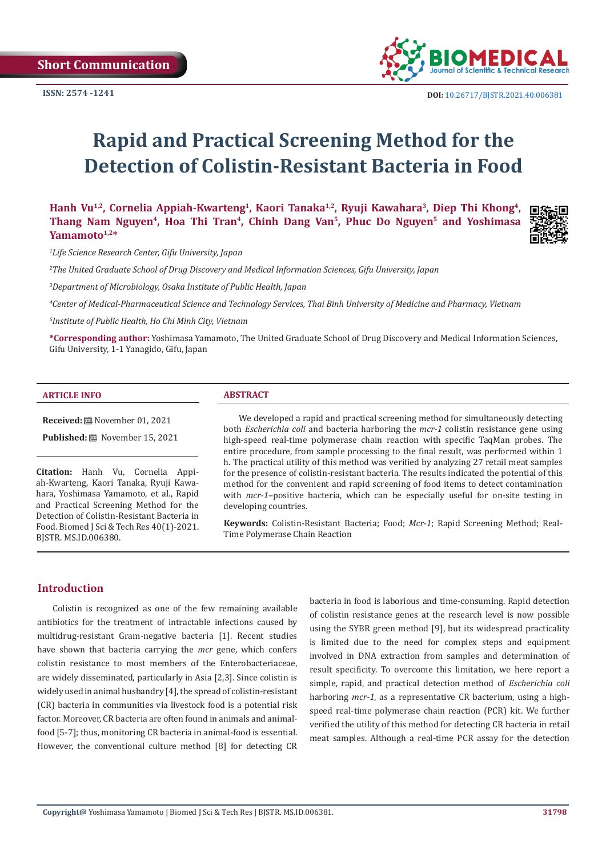**Short Communication** 



# **Rapid and Practical Screening Method for the Detection of Colistin-Resistant Bacteria in Food**

**Hanh Vu1,2, Cornelia Appiah-Kwarteng1, Kaori Tanaka1,2, Ryuji Kawahara3, Diep Thi Khong4,**  Thang Nam Nguyen<sup>4</sup>, Hoa Thi Tran<sup>4</sup>, Chinh Dang Van<sup>5</sup>, Phuc Do Nguyen<sup>5</sup> and Yoshimasa **Yamamoto1,2\***



*1 Life Science Research Center, Gifu University, Japan*

*2 The United Graduate School of Drug Discovery and Medical Information Sciences, Gifu University, Japan*

*3 Department of Microbiology, Osaka Institute of Public Health, Japan*

*4 Center of Medical-Pharmaceutical Science and Technology Services, Thai Binh University of Medicine and Pharmacy, Vietnam*

*5 Institute of Public Health, Ho Chi Minh City, Vietnam*

**\*Corresponding author:** Yoshimasa Yamamoto, The United Graduate School of Drug Discovery and Medical Information Sciences, Gifu University, 1-1 Yanagido, Gifu, Japan

#### **ARTICLE INFO ABSTRACT**

**Received:** November 01, 2021

Published: **■** November 15, 2021

**Citation:** Hanh Vu, Cornelia Appiah-Kwarteng, Kaori Tanaka, Ryuji Kawahara, Yoshimasa Yamamoto, et al., Rapid and Practical Screening Method for the Detection of Colistin-Resistant Bacteria in Food. Biomed J Sci & Tech Res 40(1)-2021. BJSTR. MS.ID.006380.

We developed a rapid and practical screening method for simultaneously detecting both *Escherichia coli* and bacteria harboring the *mcr-1* colistin resistance gene using high-speed real-time polymerase chain reaction with specific TaqMan probes. The entire procedure, from sample processing to the final result, was performed within 1 h. The practical utility of this method was verified by analyzing 27 retail meat samples for the presence of colistin-resistant bacteria. The results indicated the potential of this method for the convenient and rapid screening of food items to detect contamination with *mcr-1*–positive bacteria, which can be especially useful for on-site testing in developing countries.

**Keywords:** Colistin-Resistant Bacteria; Food; *Mcr-1*; Rapid Screening Method; Real-Time Polymerase Chain Reaction

#### **Introduction**

Colistin is recognized as one of the few remaining available antibiotics for the treatment of intractable infections caused by multidrug-resistant Gram-negative bacteria [1]. Recent studies have shown that bacteria carrying the *mcr* gene, which confers colistin resistance to most members of the Enterobacteriaceae, are widely disseminated, particularly in Asia [2,3]. Since colistin is widely used in animal husbandry [4], the spread of colistin-resistant (CR) bacteria in communities via livestock food is a potential risk factor. Moreover, CR bacteria are often found in animals and animalfood [5-7]; thus, monitoring CR bacteria in animal-food is essential. However, the conventional culture method [8] for detecting CR

bacteria in food is laborious and time-consuming. Rapid detection of colistin resistance genes at the research level is now possible using the SYBR green method [9], but its widespread practicality is limited due to the need for complex steps and equipment involved in DNA extraction from samples and determination of result specificity. To overcome this limitation, we here report a simple, rapid, and practical detection method of *Escherichia coli*  harboring *mcr-1*, as a representative CR bacterium, using a highspeed real-time polymerase chain reaction (PCR) kit. We further verified the utility of this method for detecting CR bacteria in retail meat samples. Although a real-time PCR assay for the detection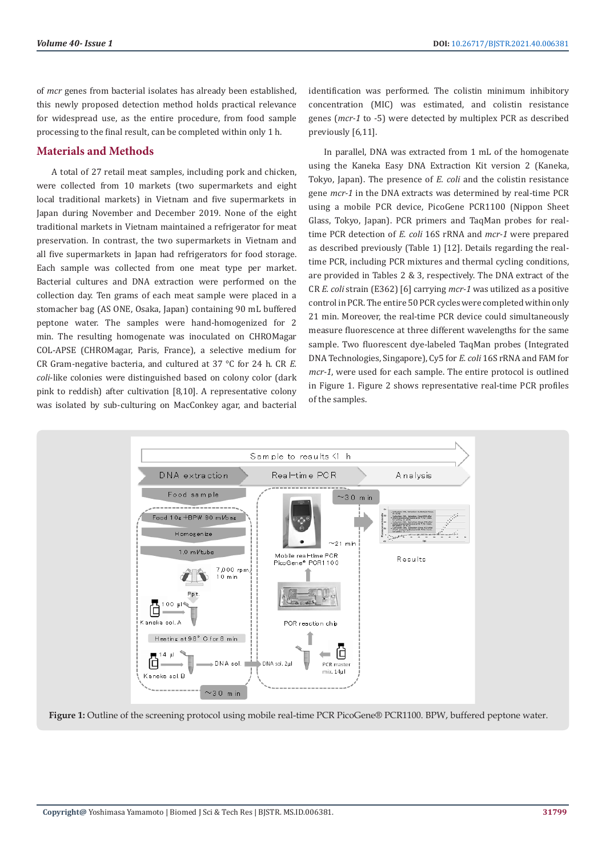of *mcr* genes from bacterial isolates has already been established, this newly proposed detection method holds practical relevance for widespread use, as the entire procedure, from food sample processing to the final result, can be completed within only 1 h.

# **Materials and Methods**

A total of 27 retail meat samples, including pork and chicken, were collected from 10 markets (two supermarkets and eight local traditional markets) in Vietnam and five supermarkets in Japan during November and December 2019. None of the eight traditional markets in Vietnam maintained a refrigerator for meat preservation. In contrast, the two supermarkets in Vietnam and all five supermarkets in Japan had refrigerators for food storage. Each sample was collected from one meat type per market. Bacterial cultures and DNA extraction were performed on the collection day. Ten grams of each meat sample were placed in a stomacher bag (AS ONE, Osaka, Japan) containing 90 mL buffered peptone water. The samples were hand-homogenized for 2 min. The resulting homogenate was inoculated on CHROMagar COL-APSE (CHROMagar, Paris, France), a selective medium for CR Gram-negative bacteria, and cultured at 37 °C for 24 h. CR *E. coli*-like colonies were distinguished based on colony color (dark pink to reddish) after cultivation [8,10]. A representative colony was isolated by sub-culturing on MacConkey agar, and bacterial

identification was performed. The colistin minimum inhibitory concentration (MIC) was estimated, and colistin resistance genes (*mcr-1* to -5) were detected by multiplex PCR as described previously [6,11].

In parallel, DNA was extracted from 1 mL of the homogenate using the Kaneka Easy DNA Extraction Kit version 2 (Kaneka, Tokyo, Japan). The presence of *E. coli* and the colistin resistance gene *mcr-1* in the DNA extracts was determined by real-time PCR using a mobile PCR device, PicoGene PCR1100 (Nippon Sheet Glass, Tokyo, Japan). PCR primers and TaqMan probes for realtime PCR detection of *E. coli* 16S rRNA and *mcr-1* were prepared as described previously (Table 1) [12]. Details regarding the realtime PCR, including PCR mixtures and thermal cycling conditions, are provided in Tables 2 & 3, respectively. The DNA extract of the CR *E. coli* strain (E362) [6] carrying *mcr-1* was utilized as a positive control in PCR. The entire 50 PCR cycles were completed within only 21 min. Moreover, the real-time PCR device could simultaneously measure fluorescence at three different wavelengths for the same sample. Two fluorescent dye-labeled TaqMan probes (Integrated DNA Technologies, Singapore), Cy5 for *E. coli* 16S rRNA and FAM for *mcr-1*, were used for each sample. The entire protocol is outlined in Figure 1. Figure 2 shows representative real-time PCR profiles of the samples.



**Figure 1:** Outline of the screening protocol using mobile real-time PCR PicoGene® PCR1100. BPW, buffered peptone water.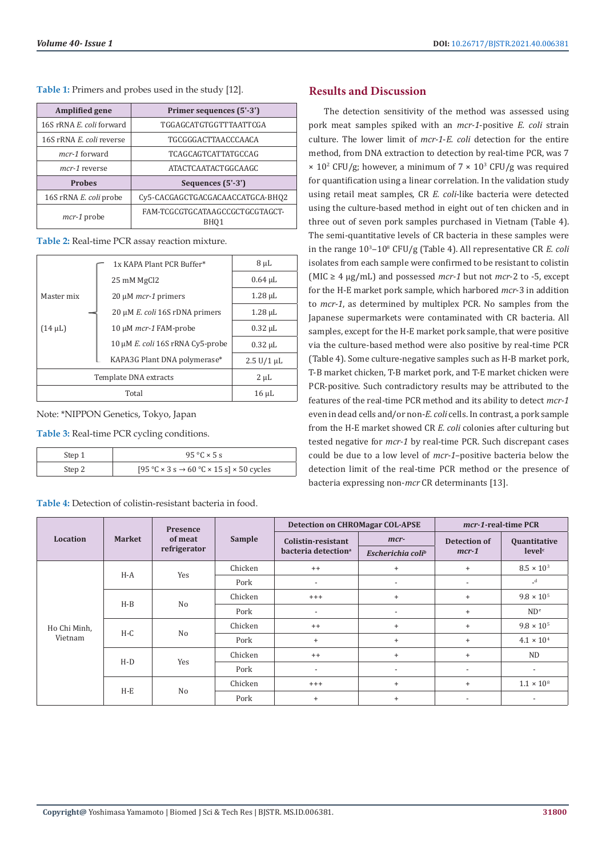**Table 1:** Primers and probes used in the study [12].

| <b>Amplified gene</b>    | Primer sequences (5'-3')                |  |  |  |
|--------------------------|-----------------------------------------|--|--|--|
| 16S rRNA E. coli forward | TGGAGCATGTGGTTTAATTCGA                  |  |  |  |
| 16S rRNA E. coli reverse | <b>TGCGGGACTTAACCCAACA</b>              |  |  |  |
| mcr-1 forward            | TCAGCAGTCATTATGCCAG                     |  |  |  |
| mcr-1 reverse            | ATACTCAATACTGGCAAGC                     |  |  |  |
| <b>Probes</b>            | Sequences (5'-3')                       |  |  |  |
| 16S rRNA E. coli probe   | Cy5-CACGAGCTGACGACAACCATGCA-BHQ2        |  |  |  |
| mcr-1 probe              | FAM-TCGCGTGCATAAGCCGCTGCGTAGCT-<br>BHO1 |  |  |  |

**Table 2:** Real-time PCR assay reaction mixture.

|                       |  | 1x KAPA Plant PCR Buffer*             | 8 µL                    |  |
|-----------------------|--|---------------------------------------|-------------------------|--|
|                       |  | 25 mM MgCl2                           | $0.64$ $\mu$ L          |  |
| Master mix            |  | $20 \mu M$ mcr-1 primers              | $1.28 \mu L$            |  |
|                       |  | 20 µM <i>E. coli</i> 16S rDNA primers | $1.28 \mu L$            |  |
| $(14 \mu L)$          |  | 10 μM <i>mcr-1</i> FAM-probe          | $0.32 \mu L$            |  |
|                       |  | 10 μM E. coli 16S rRNA Cy5-probe      | $0.32 \mu L$            |  |
|                       |  | KAPA3G Plant DNA polymerase*          | $2.5 \text{ U}/1 \mu L$ |  |
| Template DNA extracts |  |                                       | 2 µL                    |  |
| Total                 |  |                                       | $16 \mu L$              |  |

Note: \*NIPPON Genetics, Tokyo, Japan

**Table 3:** Real-time PCR cycling conditions.

| Step 1 | $95\text{ °C} \times 5\text{ s}$                                    |  |  |  |  |
|--------|---------------------------------------------------------------------|--|--|--|--|
| Step 2 | $[95 °C \times 3 s \rightarrow 60 °C \times 15 s] \times 50$ cycles |  |  |  |  |

**Table 4:** Detection of colistin-resistant bacteria in food.

### **Results and Discussion**

The detection sensitivity of the method was assessed using pork meat samples spiked with an *mcr-1*-positive *E. coli* strain culture. The lower limit of *mcr-1*-*E. coli* detection for the entire method, from DNA extraction to detection by real-time PCR, was 7  $\times$  10<sup>2</sup> CFU/g; however, a minimum of 7  $\times$  10<sup>3</sup> CFU/g was required for quantification using a linear correlation. In the validation study using retail meat samples, CR *E. coli*-like bacteria were detected using the culture-based method in eight out of ten chicken and in three out of seven pork samples purchased in Vietnam (Table 4). The semi-quantitative levels of CR bacteria in these samples were in the range 10<sup>3</sup>–10<sup>8</sup> CFU/g (Table 4). All representative CR *E. coli* isolates from each sample were confirmed to be resistant to colistin (MIC  $\geq$  4 µg/mL) and possessed *mcr*-1 but not *mcr*-2 to -5, except for the H-E market pork sample, which harbored *mcr*-3 in addition to *mcr-1*, as determined by multiplex PCR. No samples from the Japanese supermarkets were contaminated with CR bacteria. All samples, except for the H-E market pork sample, that were positive via the culture-based method were also positive by real-time PCR (Table 4). Some culture-negative samples such as H-B market pork, T-B market chicken, T-B market pork, and T-E market chicken were PCR-positive. Such contradictory results may be attributed to the features of the real-time PCR method and its ability to detect *mcr-1* even in dead cells and/or non-*E. coli* cells. In contrast, a pork sample from the H-E market showed CR *E. coli* colonies after culturing but tested negative for *mcr-1* by real-time PCR. Such discrepant cases could be due to a low level of *mcr-1*–positive bacteria below the detection limit of the real-time PCR method or the presence of bacteria expressing non-*mcr* CR determinants [13].

| Location                | <b>Market</b> | Presence<br>of meat<br>refrigerator | Sample  | <b>Detection on CHROMagar COL-APSE</b> |                               | mcr-1-real-time PCR      |                     |
|-------------------------|---------------|-------------------------------------|---------|----------------------------------------|-------------------------------|--------------------------|---------------------|
|                         |               |                                     |         | Colistin-resistant                     | mcr-                          | Detection of             | Quantitative        |
|                         |               |                                     |         | bacteria detection <sup>a</sup>        | Escherichia coli <sup>b</sup> | $mcr-1$                  | level <sup>c</sup>  |
| Ho Chi Minh,<br>Vietnam | $H-A$         | Yes                                 | Chicken | $^{++}$                                | $\ddot{}$                     | $\ddot{}$                | $8.5 \times 10^{3}$ |
|                         |               |                                     | Pork    | $\overline{a}$                         | $\overline{\phantom{a}}$      | $\overline{\phantom{a}}$ | $-d$                |
|                         | $H-B$         | N <sub>o</sub>                      | Chicken | $^{+++}$                               | $\ddot{}$                     | $^{+}$                   | $9.8 \times 10^{5}$ |
|                         |               |                                     | Pork    | $\overline{a}$                         | $\overline{\phantom{a}}$      | $\ddot{}$                | ND <sup>e</sup>     |
|                         | $H-C$         | N <sub>o</sub>                      | Chicken | $^{++}$                                | $\ddot{}$                     | $\ddot{}$                | $9.8 \times 10^{5}$ |
|                         |               |                                     | Pork    | $^{+}$                                 | $\ddot{}$                     | $^{+}$                   | $4.1 \times 10^{4}$ |
|                         | $H-D$         | Yes                                 | Chicken | $^{++}$                                | $\ddot{}$                     | $\ddot{}$                | <b>ND</b>           |
|                         |               |                                     | Pork    | ٠                                      |                               |                          |                     |
|                         | $H-E$         | No                                  | Chicken | $^{+++}$                               | $\ddot{}$                     | $^{+}$                   | $1.1 \times 10^{8}$ |
|                         |               |                                     | Pork    | $\ddot{}$                              | $\ddot{}$                     | $\overline{\phantom{a}}$ |                     |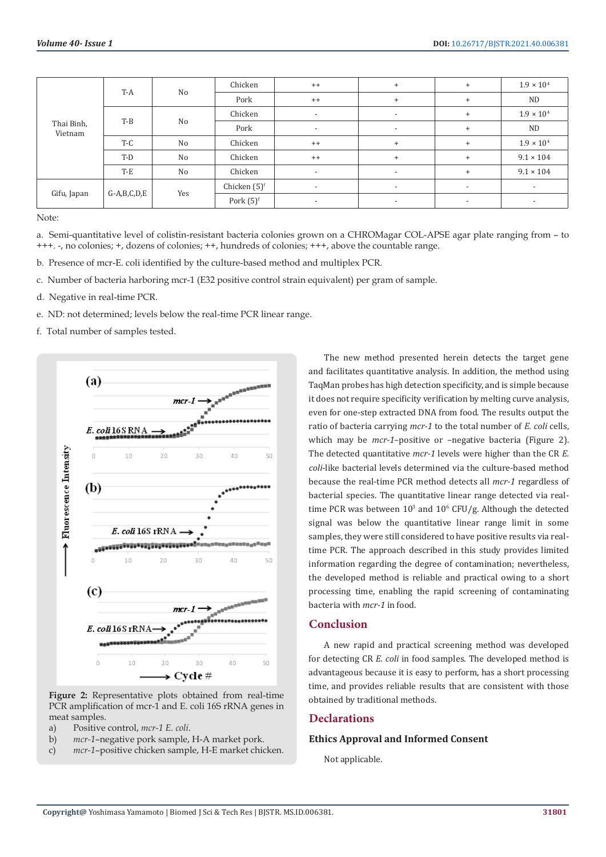| Thai Binh,<br>Vietnam | T-A           | No             | Chicken         | $++$                     | $+$                      | $\ddot{}$                | $1.9 \times 10^{4}$      |
|-----------------------|---------------|----------------|-----------------|--------------------------|--------------------------|--------------------------|--------------------------|
|                       |               |                | Pork            | $^{++}$                  | $\ddot{}$                | $\ddot{}$                | ND                       |
|                       | $T-B$         | No             | Chicken         | $\overline{\phantom{a}}$ | $\overline{\phantom{a}}$ | $\ddot{}$                | $1.9 \times 10^{4}$      |
|                       |               |                | Pork            | $\overline{\phantom{a}}$ | $\overline{\phantom{a}}$ | $\ddot{}$                | <b>ND</b>                |
|                       | $T-C$         | No             | Chicken         | $^{++}$                  | $+$                      | $\ddot{}$                | $1.9 \times 10^{4}$      |
|                       | T-D           | N <sub>o</sub> | Chicken         | $^{++}$                  | $^{+}$                   | $\ddot{}$                | $9.1 \times 104$         |
|                       | $T-E$         | No             | Chicken         | $\overline{\phantom{a}}$ | $\overline{\phantom{a}}$ | $\ddot{}$                | $9.1 \times 104$         |
| Gifu, Japan           | $G-A,B,C,D,E$ | Yes            | Chicken $(5)^f$ | $\overline{\phantom{a}}$ | $\overline{\phantom{a}}$ | $\overline{\phantom{a}}$ | $\overline{\phantom{a}}$ |
|                       |               |                | Pork $(5)^f$    | $\overline{\phantom{a}}$ | $\overline{\phantom{a}}$ | $\overline{\phantom{a}}$ | $\overline{\phantom{a}}$ |

Note:

a. Semi-quantitative level of colistin-resistant bacteria colonies grown on a CHROMagar COL-APSE agar plate ranging from – to +++. -, no colonies; +, dozens of colonies; ++, hundreds of colonies; +++, above the countable range.

b. Presence of mcr-E. coli identified by the culture-based method and multiplex PCR.

- c. Number of bacteria harboring mcr-1 (E32 positive control strain equivalent) per gram of sample.
- d. Negative in real-time PCR.
- e. ND: not determined; levels below the real-time PCR linear range.
- f. Total number of samples tested.



**Figure 2:** Representative plots obtained from real-time PCR amplification of mcr-1 and E. coli 16S rRNA genes in meat samples.

- a) Positive control, *mcr-1 E. coli*.
- b) *mcr-1*–negative pork sample, H-A market pork.
- c) *mcr-1*–positive chicken sample, H-E market chicken.

The new method presented herein detects the target gene and facilitates quantitative analysis. In addition, the method using TaqMan probes has high detection specificity, and is simple because it does not require specificity verification by melting curve analysis, even for one-step extracted DNA from food. The results output the ratio of bacteria carrying *mcr-1* to the total number of *E. coli* cells, which may be *mcr-1*–positive or –negative bacteria (Figure 2). The detected quantitative *mcr-1* levels were higher than the CR *E. coli*-like bacterial levels determined via the culture-based method because the real-time PCR method detects all *mcr-1* regardless of bacterial species. The quantitative linear range detected via realtime PCR was between  $10^3$  and  $10^6$  CFU/g. Although the detected signal was below the quantitative linear range limit in some samples, they were still considered to have positive results via realtime PCR. The approach described in this study provides limited information regarding the degree of contamination; nevertheless, the developed method is reliable and practical owing to a short processing time, enabling the rapid screening of contaminating bacteria with *mcr-1* in food.

# **Conclusion**

A new rapid and practical screening method was developed for detecting CR *E. coli* in food samples. The developed method is advantageous because it is easy to perform, has a short processing time, and provides reliable results that are consistent with those obtained by traditional methods.

## **Declarations**

#### **Ethics Approval and Informed Consent**

Not applicable.